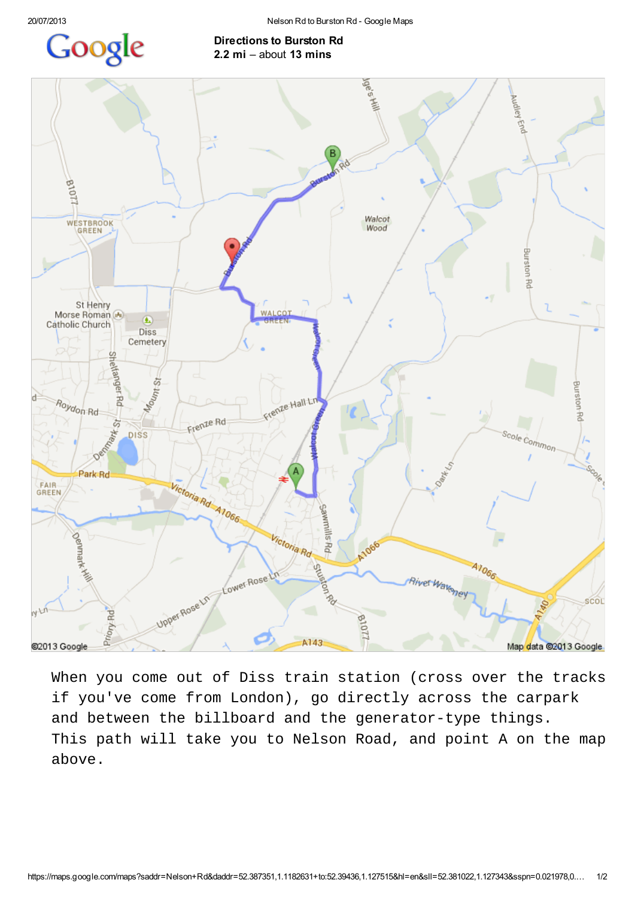## Google

## Directions to Burston Rd 2.2 mi – about 13 mins



When you come out of Diss train station (cross over the tracks if you've come from London), go directly across the carpark and between the billboard and the generator-type things. This path will take you to Nelson Road, and point A on the map above.